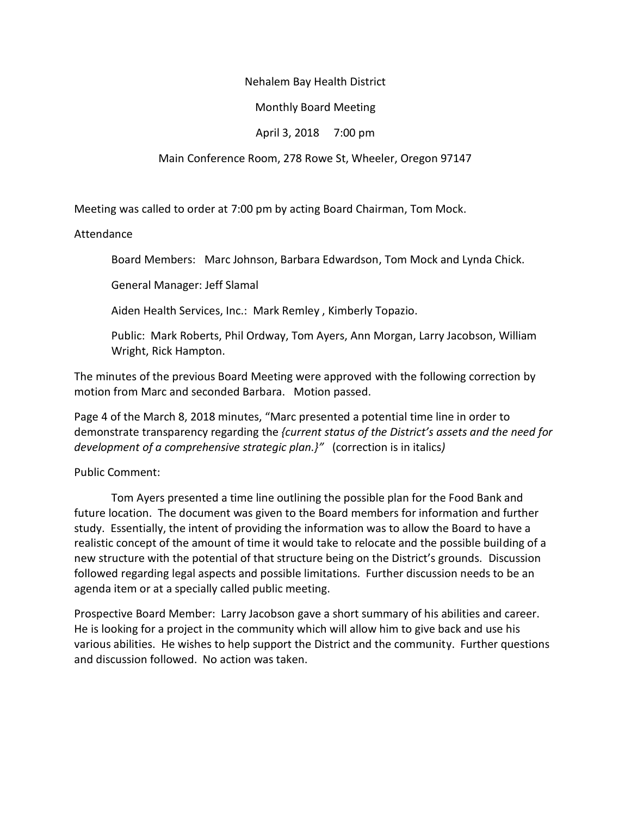### Nehalem Bay Health District

# Monthly Board Meeting

# April 3, 2018 7:00 pm

## Main Conference Room, 278 Rowe St, Wheeler, Oregon 97147

Meeting was called to order at 7:00 pm by acting Board Chairman, Tom Mock.

## Attendance

Board Members: Marc Johnson, Barbara Edwardson, Tom Mock and Lynda Chick.

General Manager: Jeff Slamal

Aiden Health Services, Inc.: Mark Remley , Kimberly Topazio.

Public: Mark Roberts, Phil Ordway, Tom Ayers, Ann Morgan, Larry Jacobson, William Wright, Rick Hampton.

The minutes of the previous Board Meeting were approved with the following correction by motion from Marc and seconded Barbara. Motion passed.

Page 4 of the March 8, 2018 minutes, "Marc presented a potential time line in order to demonstrate transparency regarding the *{current status of the District's assets and the need for development of a comprehensive strategic plan.}"* (correction is in italics*)*

# Public Comment:

Tom Ayers presented a time line outlining the possible plan for the Food Bank and future location. The document was given to the Board members for information and further study. Essentially, the intent of providing the information was to allow the Board to have a realistic concept of the amount of time it would take to relocate and the possible building of a new structure with the potential of that structure being on the District's grounds. Discussion followed regarding legal aspects and possible limitations. Further discussion needs to be an agenda item or at a specially called public meeting.

Prospective Board Member: Larry Jacobson gave a short summary of his abilities and career. He is looking for a project in the community which will allow him to give back and use his various abilities. He wishes to help support the District and the community. Further questions and discussion followed. No action was taken.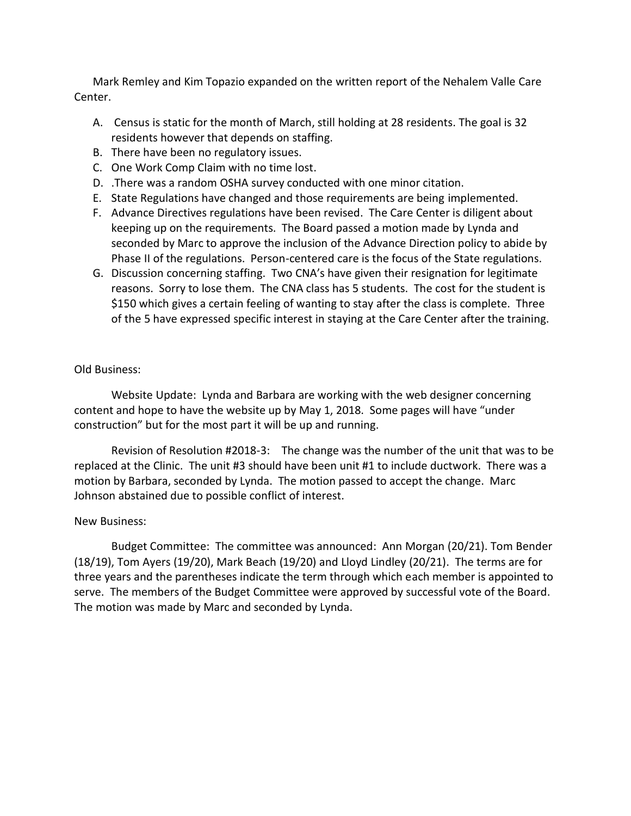Mark Remley and Kim Topazio expanded on the written report of the Nehalem Valle Care Center.

- A. Census is static for the month of March, still holding at 28 residents. The goal is 32 residents however that depends on staffing.
- B. There have been no regulatory issues.
- C. One Work Comp Claim with no time lost.
- D. .There was a random OSHA survey conducted with one minor citation.
- E. State Regulations have changed and those requirements are being implemented.
- F. Advance Directives regulations have been revised. The Care Center is diligent about keeping up on the requirements. The Board passed a motion made by Lynda and seconded by Marc to approve the inclusion of the Advance Direction policy to abide by Phase II of the regulations. Person-centered care is the focus of the State regulations.
- G. Discussion concerning staffing. Two CNA's have given their resignation for legitimate reasons. Sorry to lose them. The CNA class has 5 students. The cost for the student is \$150 which gives a certain feeling of wanting to stay after the class is complete. Three of the 5 have expressed specific interest in staying at the Care Center after the training.

## Old Business:

Website Update: Lynda and Barbara are working with the web designer concerning content and hope to have the website up by May 1, 2018. Some pages will have "under construction" but for the most part it will be up and running.

Revision of Resolution #2018-3: The change was the number of the unit that was to be replaced at the Clinic. The unit #3 should have been unit #1 to include ductwork. There was a motion by Barbara, seconded by Lynda. The motion passed to accept the change. Marc Johnson abstained due to possible conflict of interest.

# New Business:

Budget Committee: The committee was announced: Ann Morgan (20/21). Tom Bender (18/19), Tom Ayers (19/20), Mark Beach (19/20) and Lloyd Lindley (20/21). The terms are for three years and the parentheses indicate the term through which each member is appointed to serve. The members of the Budget Committee were approved by successful vote of the Board. The motion was made by Marc and seconded by Lynda.